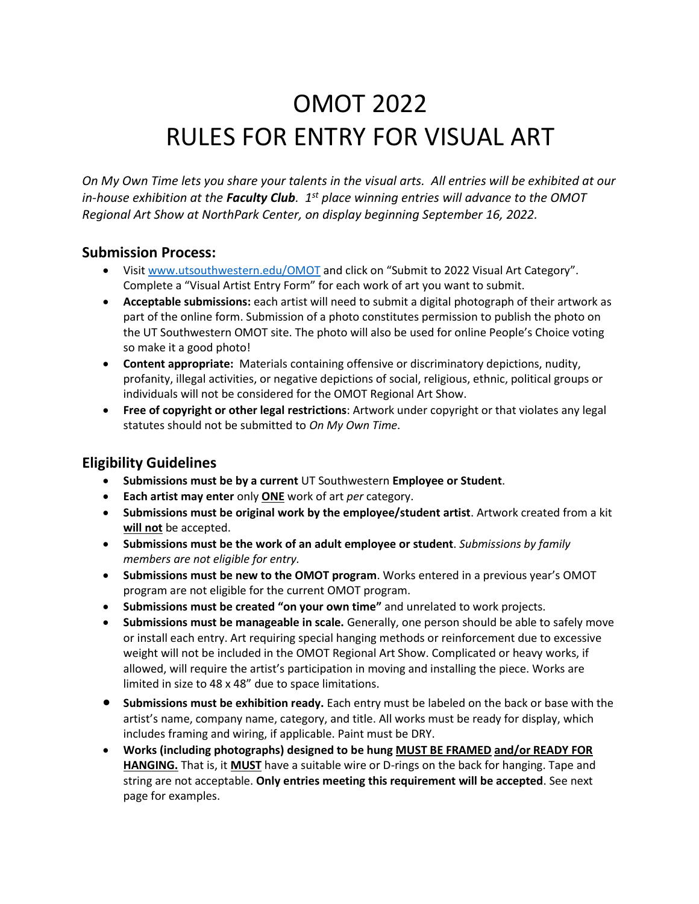# OMOT 2022 RULES FOR ENTRY FOR VISUAL ART

*On My Own Time lets you share your talents in the visual arts. All entries will be exhibited at our in-house exhibition at the Faculty Club. 1st place winning entries will advance to the OMOT Regional Art Show at NorthPark Center, on display beginning September 16, 2022.*

## **Submission Process:**

- Visit [www.utsouthwestern.edu/OMOT](http://www.utsouthwestern.edu/OMOT) and click on "Submit to 2022 Visual Art Category". Complete a "Visual Artist Entry Form" for each work of art you want to submit.
- **Acceptable submissions:** each artist will need to submit a digital photograph of their artwork as part of the online form. Submission of a photo constitutes permission to publish the photo on the UT Southwestern OMOT site. The photo will also be used for online People's Choice voting so make it a good photo!
- **Content appropriate:** Materials containing offensive or discriminatory depictions, nudity, profanity, illegal activities, or negative depictions of social, religious, ethnic, political groups or individuals will not be considered for the OMOT Regional Art Show.
- **Free of copyright or other legal restrictions**: Artwork under copyright or that violates any legal statutes should not be submitted to *On My Own Time*.

## **Eligibility Guidelines**

- **Submissions must be by a current** UT Southwestern **Employee or Student**.
- **Each artist may enter** only **ONE** work of art *per* category.
- **Submissions must be original work by the employee/student artist**. Artwork created from a kit **will not** be accepted.
- **Submissions must be the work of an adult employee or student**. *Submissions by family members are not eligible for entry.*
- **Submissions must be new to the OMOT program**. Works entered in a previous year's OMOT program are not eligible for the current OMOT program.
- **Submissions must be created "on your own time"** and unrelated to work projects.
- **Submissions must be manageable in scale.** Generally, one person should be able to safely move or install each entry. Art requiring special hanging methods or reinforcement due to excessive weight will not be included in the OMOT Regional Art Show. Complicated or heavy works, if allowed, will require the artist's participation in moving and installing the piece. Works are limited in size to 48 x 48" due to space limitations.
- **Submissions must be exhibition ready.** Each entry must be labeled on the back or base with the artist's name, company name, category, and title. All works must be ready for display, which includes framing and wiring, if applicable. Paint must be DRY.
- **Works (including photographs) designed to be hung MUST BE FRAMED and/or READY FOR HANGING.** That is, it **MUST** have a suitable wire or D-rings on the back for hanging. Tape and string are not acceptable. **Only entries meeting this requirement will be accepted**. See next page for examples.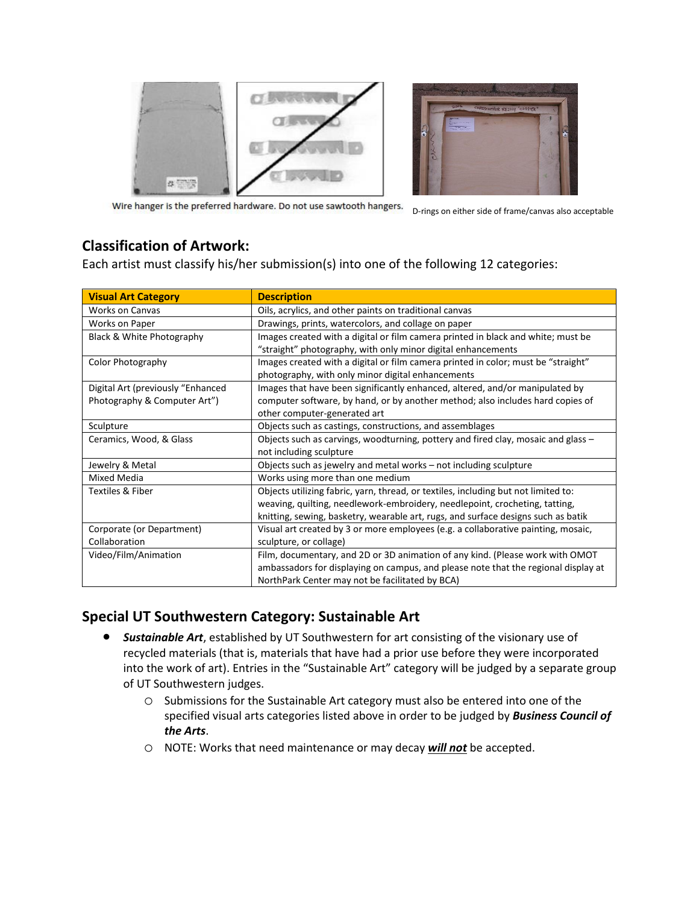



Wire hanger is the preferred hardware. Do not use sawtooth hangers.

D-rings on either side of frame/canvas also acceptable

## **Classification of Artwork:**

Each artist must classify his/her submission(s) into one of the following 12 categories:

| <b>Visual Art Category</b>        | <b>Description</b>                                                                 |
|-----------------------------------|------------------------------------------------------------------------------------|
| <b>Works on Canvas</b>            | Oils, acrylics, and other paints on traditional canvas                             |
| Works on Paper                    | Drawings, prints, watercolors, and collage on paper                                |
| Black & White Photography         | Images created with a digital or film camera printed in black and white; must be   |
|                                   | "straight" photography, with only minor digital enhancements                       |
| Color Photography                 | Images created with a digital or film camera printed in color; must be "straight"  |
|                                   | photography, with only minor digital enhancements                                  |
| Digital Art (previously "Enhanced | Images that have been significantly enhanced, altered, and/or manipulated by       |
| Photography & Computer Art")      | computer software, by hand, or by another method; also includes hard copies of     |
|                                   | other computer-generated art                                                       |
| Sculpture                         | Objects such as castings, constructions, and assemblages                           |
| Ceramics, Wood, & Glass           | Objects such as carvings, woodturning, pottery and fired clay, mosaic and glass -  |
|                                   | not including sculpture                                                            |
| Jewelry & Metal                   | Objects such as jewelry and metal works - not including sculpture                  |
| Mixed Media                       | Works using more than one medium                                                   |
| Textiles & Fiber                  | Objects utilizing fabric, yarn, thread, or textiles, including but not limited to: |
|                                   | weaving, quilting, needlework-embroidery, needlepoint, crocheting, tatting,        |
|                                   | knitting, sewing, basketry, wearable art, rugs, and surface designs such as batik  |
| Corporate (or Department)         | Visual art created by 3 or more employees (e.g. a collaborative painting, mosaic,  |
| Collaboration                     | sculpture, or collage)                                                             |
| Video/Film/Animation              | Film, documentary, and 2D or 3D animation of any kind. (Please work with OMOT      |
|                                   | ambassadors for displaying on campus, and please note that the regional display at |
|                                   | NorthPark Center may not be facilitated by BCA)                                    |

## **Special UT Southwestern Category: Sustainable Art**

- *Sustainable Art*, established by UT Southwestern for art consisting of the visionary use of recycled materials (that is, materials that have had a prior use before they were incorporated into the work of art). Entries in the "Sustainable Art" category will be judged by a separate group of UT Southwestern judges.
	- o Submissions for the Sustainable Art category must also be entered into one of the specified visual arts categories listed above in order to be judged by *Business Council of the Arts*.
	- o NOTE: Works that need maintenance or may decay *will not* be accepted.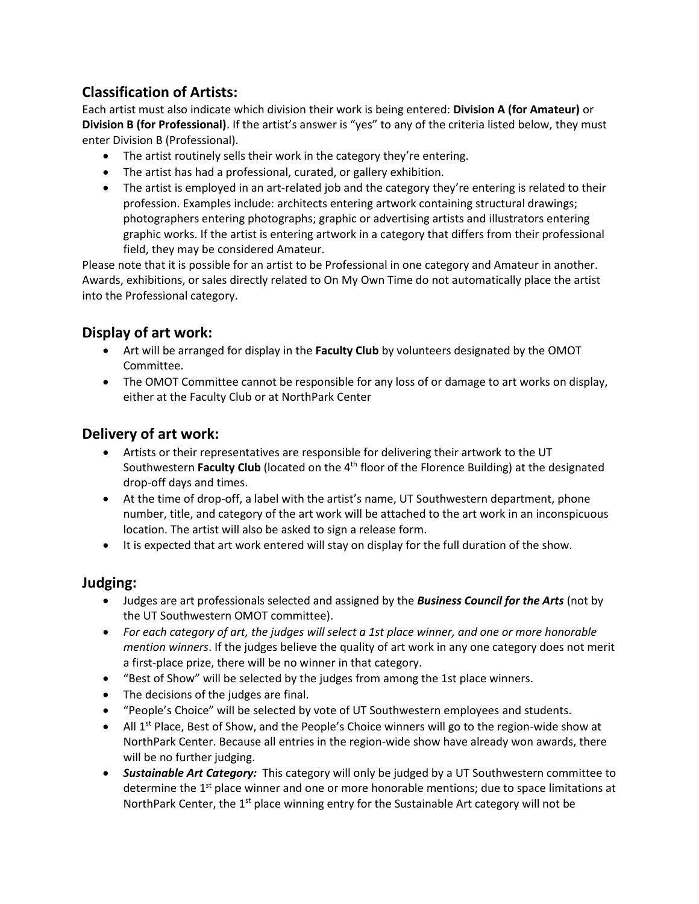## **Classification of Artists:**

Each artist must also indicate which division their work is being entered: **Division A (for Amateur)** or **Division B (for Professional)**. If the artist's answer is "yes" to any of the criteria listed below, they must enter Division B (Professional).

- The artist routinely sells their work in the category they're entering.
- The artist has had a professional, curated, or gallery exhibition.
- The artist is employed in an art-related job and the category they're entering is related to their profession. Examples include: architects entering artwork containing structural drawings; photographers entering photographs; graphic or advertising artists and illustrators entering graphic works. If the artist is entering artwork in a category that differs from their professional field, they may be considered Amateur.

Please note that it is possible for an artist to be Professional in one category and Amateur in another. Awards, exhibitions, or sales directly related to On My Own Time do not automatically place the artist into the Professional category.

## **Display of art work:**

- Art will be arranged for display in the **Faculty Club** by volunteers designated by the OMOT Committee.
- The OMOT Committee cannot be responsible for any loss of or damage to art works on display, either at the Faculty Club or at NorthPark Center

#### **Delivery of art work:**

- Artists or their representatives are responsible for delivering their artwork to the UT Southwestern Faculty Club (located on the 4<sup>th</sup> floor of the Florence Building) at the designated drop-off days and times.
- At the time of drop-off, a label with the artist's name, UT Southwestern department, phone number, title, and category of the art work will be attached to the art work in an inconspicuous location. The artist will also be asked to sign a release form.
- It is expected that art work entered will stay on display for the full duration of the show.

#### **Judging:**

- Judges are art professionals selected and assigned by the *Business Council for the Arts* (not by the UT Southwestern OMOT committee).
- *For each category of art, the judges will select a 1st place winner, and one or more honorable mention winners*. If the judges believe the quality of art work in any one category does not merit a first-place prize, there will be no winner in that category.
- "Best of Show" will be selected by the judges from among the 1st place winners.
- The decisions of the judges are final.
- "People's Choice" will be selected by vote of UT Southwestern employees and students.
- All  $1^{st}$  Place, Best of Show, and the People's Choice winners will go to the region-wide show at NorthPark Center. Because all entries in the region-wide show have already won awards, there will be no further judging.
- *Sustainable Art Category:* This category will only be judged by a UT Southwestern committee to determine the 1<sup>st</sup> place winner and one or more honorable mentions; due to space limitations at NorthPark Center, the 1<sup>st</sup> place winning entry for the Sustainable Art category will not be